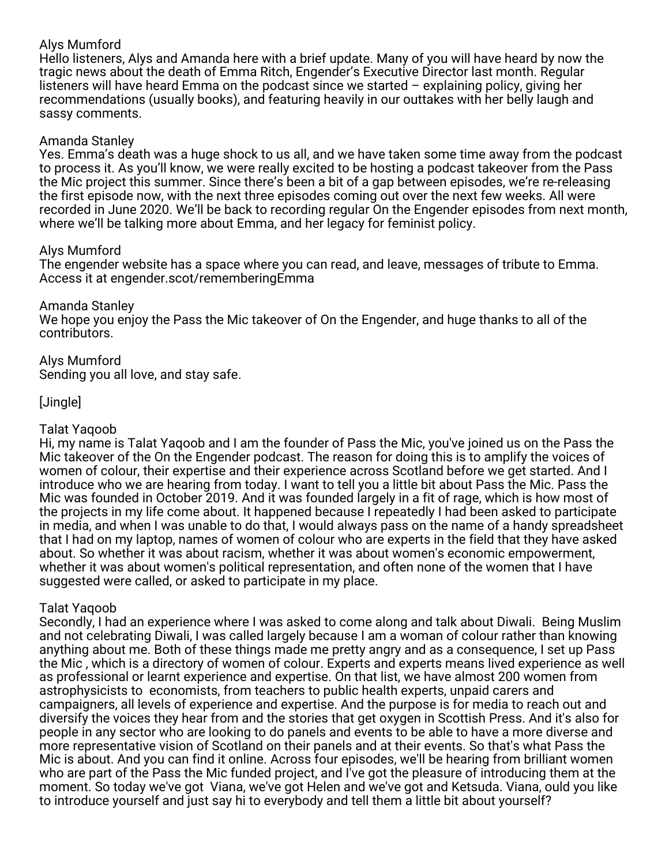## Alys Mumford

Hello listeners,
 Alys and Amanda here with a brief update. 
Many of you will have heard by now the tragic news about the death of Emma Ritch, Engender's Executive Director last month. 
Regular listeners will have heard Emma on the podcast since we started – explaining policy, giving her recommendations (usually books), and featuring heavily in our outtakes with her belly laugh and sassy comments.

## Amanda Stanley

Yes. Emma's death was a huge shock to us all, and we have taken some time away from the podcast to process it. As you'll know, we were really excited to be hosting a podcast takeover from the Pass the Mic project this summer. Since there's been a bit of a gap between episodes, we're re-releasing the first episode now, with the next three episodes coming out over the next few weeks. All were recorded in June 2020. We'll be back to recording regular On the Engender episodes from next month, where we'll be talking more about Emma, and her legacy for feminist policy.

## Alys Mumford

The engender website has a space where you can read, and leave, messages of tribute to Emma. Access it at engender.scot/rememberingEmma

## Amanda Stanley

We hope you enjoy the Pass the Mic takeover of On the Engender, and huge thanks to all of the contributors.

#### Alys Mumford Sending you all love, and stay safe.

# [Jingle]

# Talat Yaqoob

Hi, my name is Talat Yaqoob and I am the founder of Pass the Mic, you've joined us on the Pass the Mic takeover of the On the Engender podcast. The reason for doing this is to amplify the voices of women of colour, their expertise and their experience across Scotland before we get started. And I introduce who we are hearing from today. I want to tell you a little bit about Pass the Mic. Pass the Mic was founded in October 2019. And it was founded largely in a fit of rage, which is how most of the projects in my life come about. It happened because I repeatedly I had been asked to participate in media, and when I was unable to do that, I would always pass on the name of a handy spreadsheet that I had on my laptop, names of women of colour who are experts in the field that they have asked about. So whether it was about racism, whether it was about women's economic empowerment, whether it was about women's political representation, and often none of the women that I have suggested were called, or asked to participate in my place.

## Talat Yaqoob

Secondly, I had an experience where I was asked to come along and talk about Diwali. Being Muslim and not celebrating Diwali, I was called largely because I am a woman of colour rather than knowing anything about me. Both of these things made me pretty angry and as a consequence, I set up Pass the Mic , which is a directory of women of colour. Experts and experts means lived experience as well as professional or learnt experience and expertise. On that list, we have almost 200 women from astrophysicists to economists, from teachers to public health experts, unpaid carers and campaigners, all levels of experience and expertise. And the purpose is for media to reach out and diversify the voices they hear from and the stories that get oxygen in Scottish Press. And it's also for people in any sector who are looking to do panels and events to be able to have a more diverse and more representative vision of Scotland on their panels and at their events. So that's what Pass the Mic is about. And you can find it online. Across four episodes, we'll be hearing from brilliant women who are part of the Pass the Mic funded project, and I've got the pleasure of introducing them at the moment. So today we've got Viana, we've got Helen and we've got and Ketsuda. Viana, ould you like to introduce yourself and just say hi to everybody and tell them a little bit about yourself?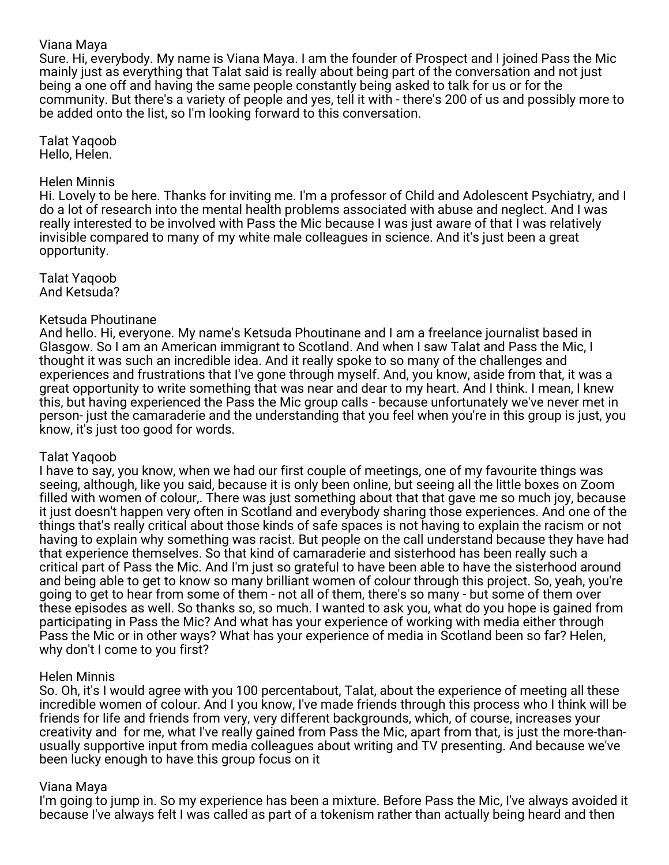### Viana Maya

Sure. Hi, everybody. My name is Viana Maya. I am the founder of Prospect and I joined Pass the Mic mainly just as everything that Talat said is really about being part of the conversation and not just being a one off and having the same people constantly being asked to talk for us or for the community. But there's a variety of people and yes, tell it with - there's 200 of us and possibly more to be added onto the list, so I'm looking forward to this conversation.

Talat Yaqoob Hello, Helen.

### Helen Minnis

Hi. Lovely to be here. Thanks for inviting me. I'm a professor of Child and Adolescent Psychiatry, and I do a lot of research into the mental health problems associated with abuse and neglect. And I was really interested to be involved with Pass the Mic because I was just aware of that I was relatively invisible compared to many of my white male colleagues in science. And it's just been a great opportunity.

Talat Yaqoob And Ketsuda?

### Ketsuda Phoutinane

And hello. Hi, everyone. My name's Ketsuda Phoutinane and I am a freelance journalist based in Glasgow. So I am an American immigrant to Scotland. And when I saw Talat and Pass the Mic, I thought it was such an incredible idea. And it really spoke to so many of the challenges and experiences and frustrations that I've gone through myself. And, you know, aside from that, it was a great opportunity to write something that was near and dear to my heart. And I think. I mean, I knew this, but having experienced the Pass the Mic group calls - because unfortunately we've never met in person- just the camaraderie and the understanding that you feel when you're in this group is just, you know, it's just too good for words.

### Talat Yaqoob

I have to say, you know, when we had our first couple of meetings, one of my favourite things was seeing, although, like you said, because it is only been online, but seeing all the little boxes on Zoom filled with women of colour,. There was just something about that that gave me so much joy, because it just doesn't happen very often in Scotland and everybody sharing those experiences. And one of the things that's really critical about those kinds of safe spaces is not having to explain the racism or not having to explain why something was racist. But people on the call understand because they have had that experience themselves. So that kind of camaraderie and sisterhood has been really such a critical part of Pass the Mic. And I'm just so grateful to have been able to have the sisterhood around and being able to get to know so many brilliant women of colour through this project. So, yeah, you're going to get to hear from some of them - not all of them, there's so many - but some of them over these episodes as well. So thanks so, so much. I wanted to ask you, what do you hope is gained from participating in Pass the Mic? And what has your experience of working with media either through Pass the Mic or in other ways? What has your experience of media in Scotland been so far? Helen, why don't I come to you first?

### Helen Minnis

So. Oh, it's I would agree with you 100 percentabout, Talat, about the experience of meeting all these incredible women of colour. And I you know, I've made friends through this process who I think will be friends for life and friends from very, very different backgrounds, which, of course, increases your creativity and for me, what I've really gained from Pass the Mic, apart from that, is just the more-thanusually supportive input from media colleagues about writing and TV presenting. And because we've been lucky enough to have this group focus on it

### Viana Maya

I'm going to jump in. So my experience has been a mixture. Before Pass the Mic, I've always avoided it because I've always felt I was called as part of a tokenism rather than actually being heard and then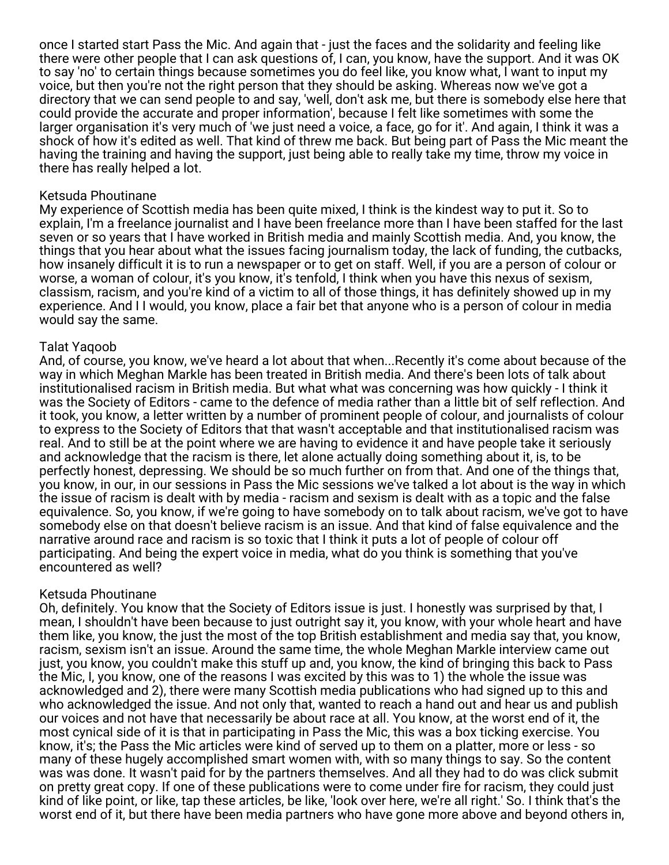once I started start Pass the Mic. And again that - just the faces and the solidarity and feeling like there were other people that I can ask questions of, I can, you know, have the support. And it was OK to say 'no' to certain things because sometimes you do feel like, you know what, I want to input my voice, but then you're not the right person that they should be asking. Whereas now we've got a directory that we can send people to and say, 'well, don't ask me, but there is somebody else here that could provide the accurate and proper information', because I felt like sometimes with some the larger organisation it's very much of 'we just need a voice, a face, go for it'. And again, I think it was a shock of how it's edited as well. That kind of threw me back. But being part of Pass the Mic meant the having the training and having the support, just being able to really take my time, throw my voice in there has really helped a lot.

### Ketsuda Phoutinane

My experience of Scottish media has been quite mixed, I think is the kindest way to put it. So to explain, I'm a freelance journalist and I have been freelance more than I have been staffed for the last seven or so years that I have worked in British media and mainly Scottish media. And, you know, the things that you hear about what the issues facing journalism today, the lack of funding, the cutbacks, how insanely difficult it is to run a newspaper or to get on staff. Well, if you are a person of colour or worse, a woman of colour, it's you know, it's tenfold, I think when you have this nexus of sexism, classism, racism, and you're kind of a victim to all of those things, it has definitely showed up in my experience. And I I would, you know, place a fair bet that anyone who is a person of colour in media would say the same.

### Talat Yaqoob

And, of course, you know, we've heard a lot about that when...Recently it's come about because of the way in which Meghan Markle has been treated in British media. And there's been lots of talk about institutionalised racism in British media. But what what was concerning was how quickly - I think it was the Society of Editors - came to the defence of media rather than a little bit of self reflection. And it took, you know, a letter written by a number of prominent people of colour, and journalists of colour to express to the Society of Editors that that wasn't acceptable and that institutionalised racism was real. And to still be at the point where we are having to evidence it and have people take it seriously and acknowledge that the racism is there, let alone actually doing something about it, is, to be perfectly honest, depressing. We should be so much further on from that. And one of the things that, you know, in our, in our sessions in Pass the Mic sessions we've talked a lot about is the way in which the issue of racism is dealt with by media - racism and sexism is dealt with as a topic and the false equivalence. So, you know, if we're going to have somebody on to talk about racism, we've got to have somebody else on that doesn't believe racism is an issue. And that kind of false equivalence and the narrative around race and racism is so toxic that I think it puts a lot of people of colour off participating. And being the expert voice in media, what do you think is something that you've encountered as well?

### Ketsuda Phoutinane

Oh, definitely. You know that the Society of Editors issue is just. I honestly was surprised by that, I mean, I shouldn't have been because to just outright say it, you know, with your whole heart and have them like, you know, the just the most of the top British establishment and media say that, you know, racism, sexism isn't an issue. Around the same time, the whole Meghan Markle interview came out just, you know, you couldn't make this stuff up and, you know, the kind of bringing this back to Pass the Mic, I, you know, one of the reasons I was excited by this was to 1) the whole the issue was acknowledged and 2), there were many Scottish media publications who had signed up to this and who acknowledged the issue. And not only that, wanted to reach a hand out and hear us and publish our voices and not have that necessarily be about race at all. You know, at the worst end of it, the most cynical side of it is that in participating in Pass the Mic, this was a box ticking exercise. You know, it's; the Pass the Mic articles were kind of served up to them on a platter, more or less - so many of these hugely accomplished smart women with, with so many things to say. So the content was was done. It wasn't paid for by the partners themselves. And all they had to do was click submit on pretty great copy. If one of these publications were to come under fire for racism, they could just kind of like point, or like, tap these articles, be like, 'look over here, we're all right.' So. I think that's the worst end of it, but there have been media partners who have gone more above and beyond others in,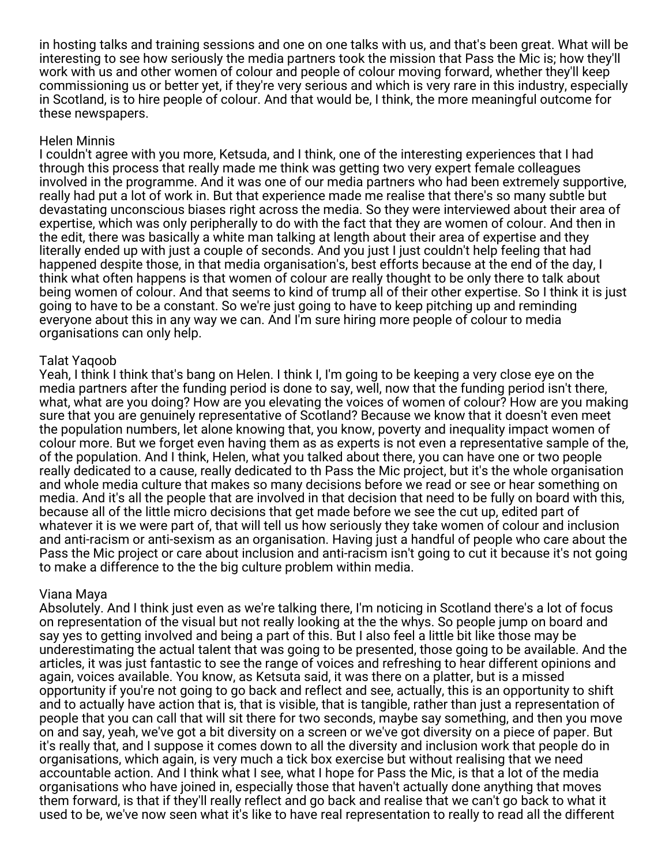in hosting talks and training sessions and one on one talks with us, and that's been great. What will be interesting to see how seriously the media partners took the mission that Pass the Mic is; how they'll work with us and other women of colour and people of colour moving forward, whether they'll keep commissioning us or better yet, if they're very serious and which is very rare in this industry, especially in Scotland, is to hire people of colour. And that would be, I think, the more meaningful outcome for these newspapers.

### Helen Minnis

I couldn't agree with you more, Ketsuda, and I think, one of the interesting experiences that I had through this process that really made me think was getting two very expert female colleagues involved in the programme. And it was one of our media partners who had been extremely supportive, really had put a lot of work in. But that experience made me realise that there's so many subtle but devastating unconscious biases right across the media. So they were interviewed about their area of expertise, which was only peripherally to do with the fact that they are women of colour. And then in the edit, there was basically a white man talking at length about their area of expertise and they literally ended up with just a couple of seconds. And you just I just couldn't help feeling that had happened despite those, in that media organisation's, best efforts because at the end of the day, I think what often happens is that women of colour are really thought to be only there to talk about being women of colour. And that seems to kind of trump all of their other expertise. So I think it is just going to have to be a constant. So we're just going to have to keep pitching up and reminding everyone about this in any way we can. And I'm sure hiring more people of colour to media organisations can only help.

## Talat Yaqoob

Yeah, I think I think that's bang on Helen. I think I, I'm going to be keeping a very close eye on the media partners after the funding period is done to say, well, now that the funding period isn't there, what, what are you doing? How are you elevating the voices of women of colour? How are you making sure that you are genuinely representative of Scotland? Because we know that it doesn't even meet the population numbers, let alone knowing that, you know, poverty and inequality impact women of colour more. But we forget even having them as as experts is not even a representative sample of the, of the population. And I think, Helen, what you talked about there, you can have one or two people really dedicated to a cause, really dedicated to th Pass the Mic project, but it's the whole organisation and whole media culture that makes so many decisions before we read or see or hear something on media. And it's all the people that are involved in that decision that need to be fully on board with this, because all of the little micro decisions that get made before we see the cut up, edited part of whatever it is we were part of, that will tell us how seriously they take women of colour and inclusion and anti-racism or anti-sexism as an organisation. Having just a handful of people who care about the Pass the Mic project or care about inclusion and anti-racism isn't going to cut it because it's not going to make a difference to the the big culture problem within media.

### Viana Maya

Absolutely. And I think just even as we're talking there, I'm noticing in Scotland there's a lot of focus on representation of the visual but not really looking at the the whys. So people jump on board and say yes to getting involved and being a part of this. But I also feel a little bit like those may be underestimating the actual talent that was going to be presented, those going to be available. And the articles, it was just fantastic to see the range of voices and refreshing to hear different opinions and again, voices available. You know, as Ketsuta said, it was there on a platter, but is a missed opportunity if you're not going to go back and reflect and see, actually, this is an opportunity to shift and to actually have action that is, that is visible, that is tangible, rather than just a representation of people that you can call that will sit there for two seconds, maybe say something, and then you move on and say, yeah, we've got a bit diversity on a screen or we've got diversity on a piece of paper. But it's really that, and I suppose it comes down to all the diversity and inclusion work that people do in organisations, which again, is very much a tick box exercise but without realising that we need accountable action. And I think what I see, what I hope for Pass the Mic, is that a lot of the media organisations who have joined in, especially those that haven't actually done anything that moves them forward, is that if they'll really reflect and go back and realise that we can't go back to what it used to be, we've now seen what it's like to have real representation to really to read all the different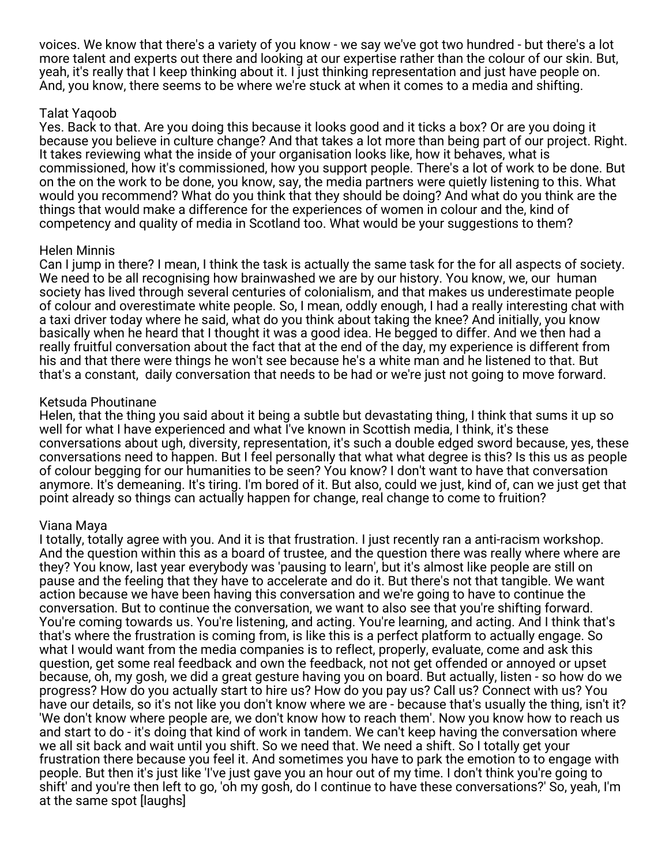voices. We know that there's a variety of you know - we say we've got two hundred - but there's a lot more talent and experts out there and looking at our expertise rather than the colour of our skin. But, yeah, it's really that I keep thinking about it. I just thinking representation and just have people on. And, you know, there seems to be where we're stuck at when it comes to a media and shifting.

## Talat Yaqoob

Yes. Back to that. Are you doing this because it looks good and it ticks a box? Or are you doing it because you believe in culture change? And that takes a lot more than being part of our project. Right. It takes reviewing what the inside of your organisation looks like, how it behaves, what is commissioned, how it's commissioned, how you support people. There's a lot of work to be done. But on the on the work to be done, you know, say, the media partners were quietly listening to this. What would you recommend? What do you think that they should be doing? And what do you think are the things that would make a difference for the experiences of women in colour and the, kind of competency and quality of media in Scotland too. What would be your suggestions to them?

### Helen Minnis

Can I jump in there? I mean, I think the task is actually the same task for the for all aspects of society. We need to be all recognising how brainwashed we are by our history. You know, we, our human society has lived through several centuries of colonialism, and that makes us underestimate people of colour and overestimate white people. So, I mean, oddly enough, I had a really interesting chat with a taxi driver today where he said, what do you think about taking the knee? And initially, you know basically when he heard that I thought it was a good idea. He begged to differ. And we then had a really fruitful conversation about the fact that at the end of the day, my experience is different from his and that there were things he won't see because he's a white man and he listened to that. But that's a constant, daily conversation that needs to be had or we're just not going to move forward.

### Ketsuda Phoutinane

Helen, that the thing you said about it being a subtle but devastating thing, I think that sums it up so well for what I have experienced and what I've known in Scottish media, I think, it's these conversations about ugh, diversity, representation, it's such a double edged sword because, yes, these conversations need to happen. But I feel personally that what what degree is this? Is this us as people of colour begging for our humanities to be seen? You know? I don't want to have that conversation anymore. It's demeaning. It's tiring. I'm bored of it. But also, could we just, kind of, can we just get that point already so things can actually happen for change, real change to come to fruition?

### Viana Maya

I totally, totally agree with you. And it is that frustration. I just recently ran a anti-racism workshop. And the question within this as a board of trustee, and the question there was really where where are they? You know, last year everybody was 'pausing to learn', but it's almost like people are still on pause and the feeling that they have to accelerate and do it. But there's not that tangible. We want action because we have been having this conversation and we're going to have to continue the conversation. But to continue the conversation, we want to also see that you're shifting forward. You're coming towards us. You're listening, and acting. You're learning, and acting. And I think that's that's where the frustration is coming from, is like this is a perfect platform to actually engage. So what I would want from the media companies is to reflect, properly, evaluate, come and ask this question, get some real feedback and own the feedback, not not get offended or annoyed or upset because, oh, my gosh, we did a great gesture having you on board. But actually, listen - so how do we progress? How do you actually start to hire us? How do you pay us? Call us? Connect with us? You have our details, so it's not like you don't know where we are - because that's usually the thing, isn't it? 'We don't know where people are, we don't know how to reach them'. Now you know how to reach us and start to do - it's doing that kind of work in tandem. We can't keep having the conversation where we all sit back and wait until you shift. So we need that. We need a shift. So I totally get your frustration there because you feel it. And sometimes you have to park the emotion to to engage with people. But then it's just like 'I've just gave you an hour out of my time. I don't think you're going to shift' and you're then left to go, 'oh my gosh, do I continue to have these conversations?' So, yeah, I'm at the same spot [laughs]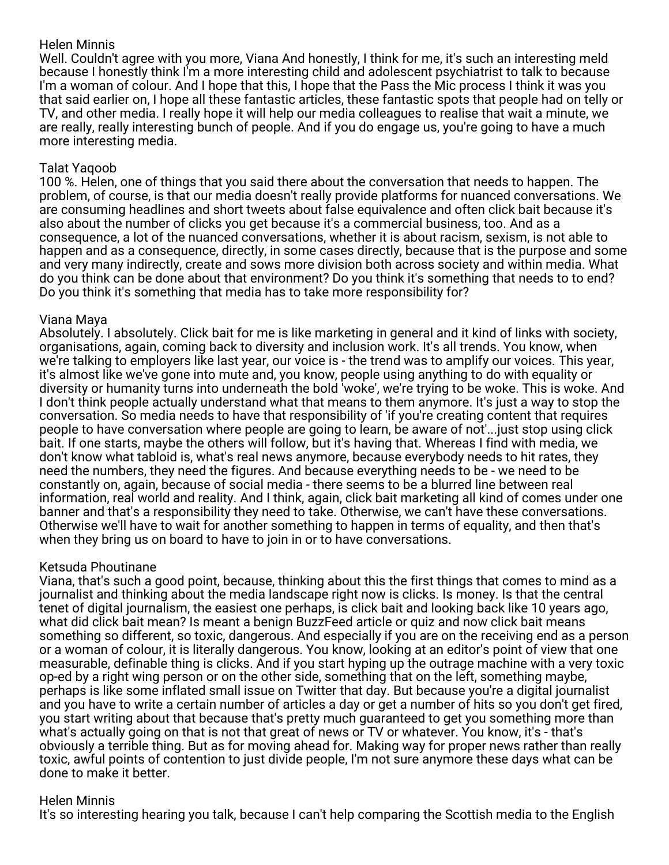## Helen Minnis

Well. Couldn't agree with you more, Viana And honestly, I think for me, it's such an interesting meld because I honestly think I'm a more interesting child and adolescent psychiatrist to talk to because I'm a woman of colour. And I hope that this, I hope that the Pass the Mic process I think it was you that said earlier on, I hope all these fantastic articles, these fantastic spots that people had on telly or TV, and other media. I really hope it will help our media colleagues to realise that wait a minute, we are really, really interesting bunch of people. And if you do engage us, you're going to have a much more interesting media.

### Talat Yaqoob

100 %. Helen, one of things that you said there about the conversation that needs to happen. The problem, of course, is that our media doesn't really provide platforms for nuanced conversations. We are consuming headlines and short tweets about false equivalence and often click bait because it's also about the number of clicks you get because it's a commercial business, too. And as a consequence, a lot of the nuanced conversations, whether it is about racism, sexism, is not able to happen and as a consequence, directly, in some cases directly, because that is the purpose and some and very many indirectly, create and sows more division both across society and within media. What do you think can be done about that environment? Do you think it's something that needs to to end? Do you think it's something that media has to take more responsibility for?

### Viana Maya

Absolutely. I absolutely. Click bait for me is like marketing in general and it kind of links with society, organisations, again, coming back to diversity and inclusion work. It's all trends. You know, when we're talking to employers like last year, our voice is - the trend was to amplify our voices. This year, it's almost like we've gone into mute and, you know, people using anything to do with equality or diversity or humanity turns into underneath the bold 'woke', we're trying to be woke. This is woke. And I don't think people actually understand what that means to them anymore. It's just a way to stop the conversation. So media needs to have that responsibility of 'if you're creating content that requires people to have conversation where people are going to learn, be aware of not'...just stop using click bait. If one starts, maybe the others will follow, but it's having that. Whereas I find with media, we don't know what tabloid is, what's real news anymore, because everybody needs to hit rates, they need the numbers, they need the figures. And because everything needs to be - we need to be constantly on, again, because of social media - there seems to be a blurred line between real information, real world and reality. And I think, again, click bait marketing all kind of comes under one banner and that's a responsibility they need to take. Otherwise, we can't have these conversations. Otherwise we'll have to wait for another something to happen in terms of equality, and then that's when they bring us on board to have to join in or to have conversations.

### Ketsuda Phoutinane

Viana, that's such a good point, because, thinking about this the first things that comes to mind as a journalist and thinking about the media landscape right now is clicks. Is money. Is that the central tenet of digital journalism, the easiest one perhaps, is click bait and looking back like 10 years ago, what did click bait mean? Is meant a benign BuzzFeed article or quiz and now click bait means something so different, so toxic, dangerous. And especially if you are on the receiving end as a person or a woman of colour, it is literally dangerous. You know, looking at an editor's point of view that one measurable, definable thing is clicks. And if you start hyping up the outrage machine with a very toxic op-ed by a right wing person or on the other side, something that on the left, something maybe, perhaps is like some inflated small issue on Twitter that day. But because you're a digital journalist and you have to write a certain number of articles a day or get a number of hits so you don't get fired, you start writing about that because that's pretty much guaranteed to get you something more than what's actually going on that is not that great of news or TV or whatever. You know, it's - that's obviously a terrible thing. But as for moving ahead for. Making way for proper news rather than really toxic, awful points of contention to just divide people, I'm not sure anymore these days what can be done to make it better.

## Helen Minnis

It's so interesting hearing you talk, because I can't help comparing the Scottish media to the English